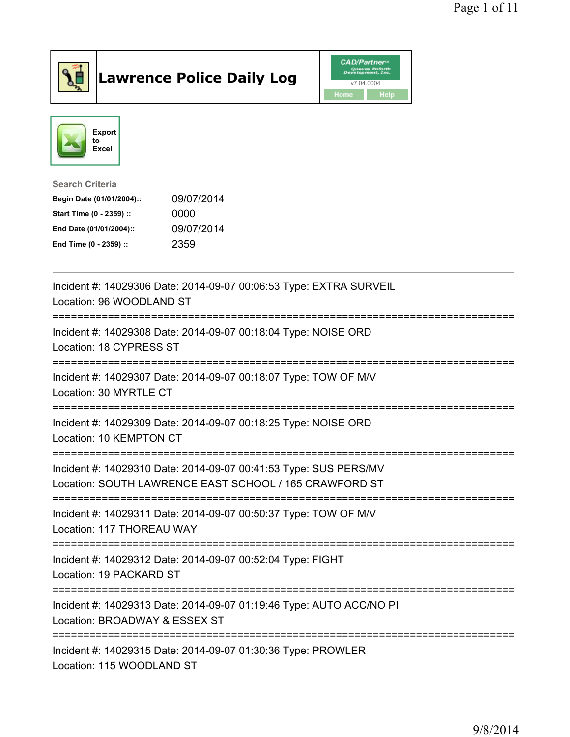

## Lawrence Police Daily Log **Daniel CAD/Partner**





Search Criteria Begin Date (01/01/2004):: 09/07/2014

| Start Time (0 - 2359) :: | 0000       |
|--------------------------|------------|
| End Date (01/01/2004)::  | 09/07/2014 |
| End Time (0 - 2359) ::   | 2359       |

| Incident #: 14029306 Date: 2014-09-07 00:06:53 Type: EXTRA SURVEIL<br>Location: 96 WOODLAND ST                             |
|----------------------------------------------------------------------------------------------------------------------------|
| Incident #: 14029308 Date: 2014-09-07 00:18:04 Type: NOISE ORD<br>Location: 18 CYPRESS ST                                  |
| Incident #: 14029307 Date: 2014-09-07 00:18:07 Type: TOW OF M/V<br>Location: 30 MYRTLE CT                                  |
| Incident #: 14029309 Date: 2014-09-07 00:18:25 Type: NOISE ORD<br>Location: 10 KEMPTON CT                                  |
| Incident #: 14029310 Date: 2014-09-07 00:41:53 Type: SUS PERS/MV<br>Location: SOUTH LAWRENCE EAST SCHOOL / 165 CRAWFORD ST |
| Incident #: 14029311 Date: 2014-09-07 00:50:37 Type: TOW OF M/V<br>Location: 117 THOREAU WAY                               |
| Incident #: 14029312 Date: 2014-09-07 00:52:04 Type: FIGHT<br>Location: 19 PACKARD ST                                      |
| Incident #: 14029313 Date: 2014-09-07 01:19:46 Type: AUTO ACC/NO PI<br>Location: BROADWAY & ESSEX ST                       |
| Incident #: 14029315 Date: 2014-09-07 01:30:36 Type: PROWLER<br>Location: 115 WOODLAND ST                                  |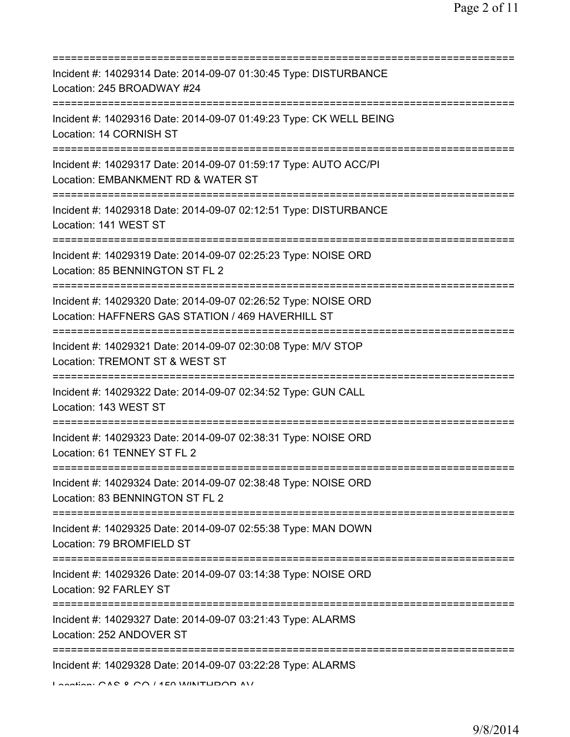| Incident #: 14029314 Date: 2014-09-07 01:30:45 Type: DISTURBANCE<br>Location: 245 BROADWAY #24                                                      |
|-----------------------------------------------------------------------------------------------------------------------------------------------------|
| Incident #: 14029316 Date: 2014-09-07 01:49:23 Type: CK WELL BEING<br>Location: 14 CORNISH ST                                                       |
| Incident #: 14029317 Date: 2014-09-07 01:59:17 Type: AUTO ACC/PI<br>Location: EMBANKMENT RD & WATER ST                                              |
| Incident #: 14029318 Date: 2014-09-07 02:12:51 Type: DISTURBANCE<br>Location: 141 WEST ST                                                           |
| Incident #: 14029319 Date: 2014-09-07 02:25:23 Type: NOISE ORD<br>Location: 85 BENNINGTON ST FL 2                                                   |
| Incident #: 14029320 Date: 2014-09-07 02:26:52 Type: NOISE ORD<br>Location: HAFFNERS GAS STATION / 469 HAVERHILL ST<br>============================ |
| Incident #: 14029321 Date: 2014-09-07 02:30:08 Type: M/V STOP<br>Location: TREMONT ST & WEST ST                                                     |
| Incident #: 14029322 Date: 2014-09-07 02:34:52 Type: GUN CALL<br>Location: 143 WEST ST                                                              |
| Incident #: 14029323 Date: 2014-09-07 02:38:31 Type: NOISE ORD<br>Location: 61 TENNEY ST FL 2                                                       |
| Incident #: 14029324 Date: 2014-09-07 02:38:48 Type: NOISE ORD<br>Location: 83 BENNINGTON ST FL 2                                                   |
| Incident #: 14029325 Date: 2014-09-07 02:55:38 Type: MAN DOWN<br>Location: 79 BROMFIELD ST                                                          |
| Incident #: 14029326 Date: 2014-09-07 03:14:38 Type: NOISE ORD<br>Location: 92 FARLEY ST                                                            |
| Incident #: 14029327 Date: 2014-09-07 03:21:43 Type: ALARMS<br>Location: 252 ANDOVER ST                                                             |
| Incident #: 14029328 Date: 2014-09-07 03:22:28 Type: ALARMS<br>Location: CAC 0 CO / 4EO WINITUDOD AV                                                |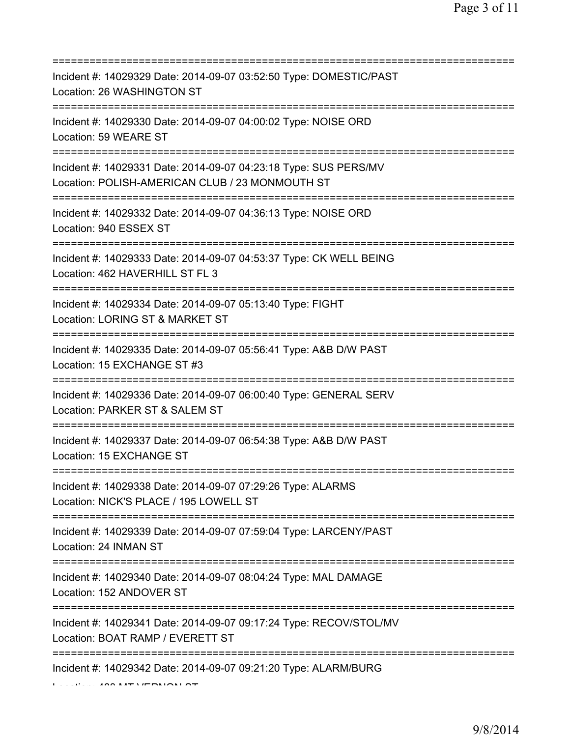| ==========================<br>===========                                                                                                       |
|-------------------------------------------------------------------------------------------------------------------------------------------------|
| Incident #: 14029329 Date: 2014-09-07 03:52:50 Type: DOMESTIC/PAST<br>Location: 26 WASHINGTON ST                                                |
| Incident #: 14029330 Date: 2014-09-07 04:00:02 Type: NOISE ORD<br>Location: 59 WEARE ST                                                         |
| Incident #: 14029331 Date: 2014-09-07 04:23:18 Type: SUS PERS/MV<br>Location: POLISH-AMERICAN CLUB / 23 MONMOUTH ST                             |
| Incident #: 14029332 Date: 2014-09-07 04:36:13 Type: NOISE ORD<br>Location: 940 ESSEX ST<br>================================                    |
| Incident #: 14029333 Date: 2014-09-07 04:53:37 Type: CK WELL BEING<br>Location: 462 HAVERHILL ST FL 3<br>=====================================  |
| Incident #: 14029334 Date: 2014-09-07 05:13:40 Type: FIGHT<br>Location: LORING ST & MARKET ST                                                   |
| Incident #: 14029335 Date: 2014-09-07 05:56:41 Type: A&B D/W PAST<br>Location: 15 EXCHANGE ST #3                                                |
| Incident #: 14029336 Date: 2014-09-07 06:00:40 Type: GENERAL SERV<br>Location: PARKER ST & SALEM ST                                             |
| Incident #: 14029337 Date: 2014-09-07 06:54:38 Type: A&B D/W PAST<br>Location: 15 EXCHANGE ST                                                   |
| Incident #: 14029338 Date: 2014-09-07 07:29:26 Type: ALARMS<br>Location: NICK'S PLACE / 195 LOWELL ST<br>====================================== |
| Incident #: 14029339 Date: 2014-09-07 07:59:04 Type: LARCENY/PAST<br>Location: 24 INMAN ST                                                      |
| Incident #: 14029340 Date: 2014-09-07 08:04:24 Type: MAL DAMAGE<br>Location: 152 ANDOVER ST                                                     |
| Incident #: 14029341 Date: 2014-09-07 09:17:24 Type: RECOV/STOL/MV<br>Location: BOAT RAMP / EVERETT ST                                          |
| =============<br>Incident #: 14029342 Date: 2014-09-07 09:21:20 Type: ALARM/BURG                                                                |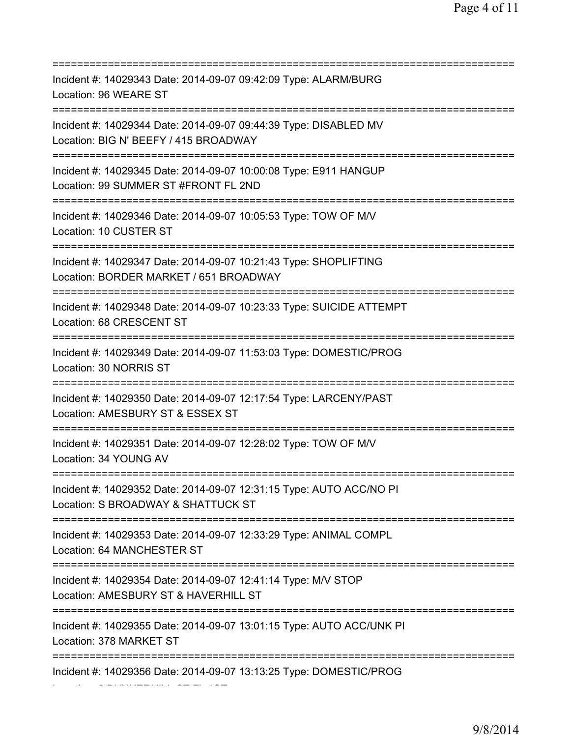| Incident #: 14029343 Date: 2014-09-07 09:42:09 Type: ALARM/BURG<br>Location: 96 WEARE ST                                                  |
|-------------------------------------------------------------------------------------------------------------------------------------------|
| Incident #: 14029344 Date: 2014-09-07 09:44:39 Type: DISABLED MV<br>Location: BIG N' BEEFY / 415 BROADWAY<br>============================ |
| Incident #: 14029345 Date: 2014-09-07 10:00:08 Type: E911 HANGUP<br>Location: 99 SUMMER ST #FRONT FL 2ND                                  |
| Incident #: 14029346 Date: 2014-09-07 10:05:53 Type: TOW OF M/V<br>Location: 10 CUSTER ST<br>==================================           |
| Incident #: 14029347 Date: 2014-09-07 10:21:43 Type: SHOPLIFTING<br>Location: BORDER MARKET / 651 BROADWAY<br>;===================        |
| Incident #: 14029348 Date: 2014-09-07 10:23:33 Type: SUICIDE ATTEMPT<br>Location: 68 CRESCENT ST                                          |
| Incident #: 14029349 Date: 2014-09-07 11:53:03 Type: DOMESTIC/PROG<br>Location: 30 NORRIS ST                                              |
| Incident #: 14029350 Date: 2014-09-07 12:17:54 Type: LARCENY/PAST<br>Location: AMESBURY ST & ESSEX ST                                     |
| Incident #: 14029351 Date: 2014-09-07 12:28:02 Type: TOW OF M/V<br>Location: 34 YOUNG AV                                                  |
| Incident #: 14029352 Date: 2014-09-07 12:31:15 Type: AUTO ACC/NO PI<br>Location: S BROADWAY & SHATTUCK ST                                 |
| Incident #: 14029353 Date: 2014-09-07 12:33:29 Type: ANIMAL COMPL<br>Location: 64 MANCHESTER ST                                           |
| Incident #: 14029354 Date: 2014-09-07 12:41:14 Type: M/V STOP<br>Location: AMESBURY ST & HAVERHILL ST                                     |
| Incident #: 14029355 Date: 2014-09-07 13:01:15 Type: AUTO ACC/UNK PI<br>Location: 378 MARKET ST                                           |
| Incident #: 14029356 Date: 2014-09-07 13:13:25 Type: DOMESTIC/PROG                                                                        |

Location: 2 BUNKERHILL ST FL 1ST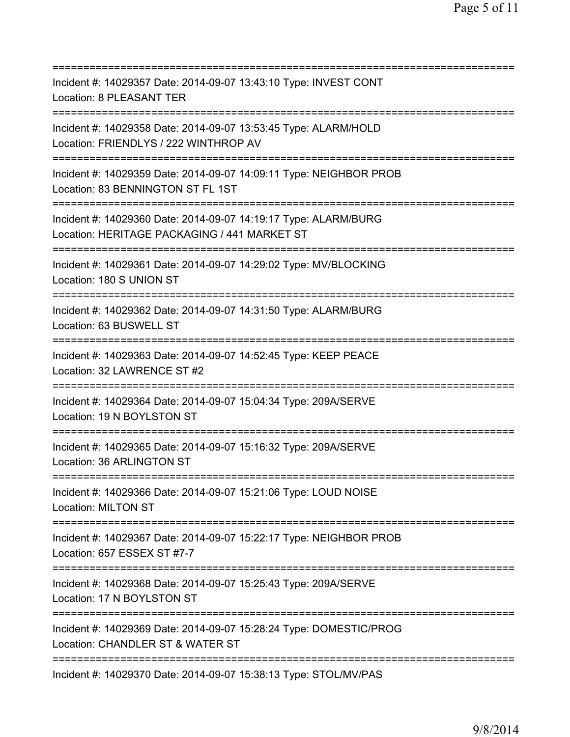| Incident #: 14029357 Date: 2014-09-07 13:43:10 Type: INVEST CONT<br>Location: 8 PLEASANT TER                                                  |
|-----------------------------------------------------------------------------------------------------------------------------------------------|
| Incident #: 14029358 Date: 2014-09-07 13:53:45 Type: ALARM/HOLD<br>Location: FRIENDLYS / 222 WINTHROP AV<br>================================= |
| Incident #: 14029359 Date: 2014-09-07 14:09:11 Type: NEIGHBOR PROB<br>Location: 83 BENNINGTON ST FL 1ST<br>=======================            |
| Incident #: 14029360 Date: 2014-09-07 14:19:17 Type: ALARM/BURG<br>Location: HERITAGE PACKAGING / 441 MARKET ST                               |
| Incident #: 14029361 Date: 2014-09-07 14:29:02 Type: MV/BLOCKING<br>Location: 180 S UNION ST<br>=====================================         |
| Incident #: 14029362 Date: 2014-09-07 14:31:50 Type: ALARM/BURG<br>Location: 63 BUSWELL ST<br>==================================              |
| Incident #: 14029363 Date: 2014-09-07 14:52:45 Type: KEEP PEACE<br>Location: 32 LAWRENCE ST #2<br>================================            |
| Incident #: 14029364 Date: 2014-09-07 15:04:34 Type: 209A/SERVE<br>Location: 19 N BOYLSTON ST                                                 |
| Incident #: 14029365 Date: 2014-09-07 15:16:32 Type: 209A/SERVE<br>Location: 36 ARLINGTON ST                                                  |
| Incident #: 14029366 Date: 2014-09-07 15:21:06 Type: LOUD NOISE<br><b>Location: MILTON ST</b>                                                 |
| Incident #: 14029367 Date: 2014-09-07 15:22:17 Type: NEIGHBOR PROB<br>Location: 657 ESSEX ST #7-7                                             |
| Incident #: 14029368 Date: 2014-09-07 15:25:43 Type: 209A/SERVE<br>Location: 17 N BOYLSTON ST                                                 |
| Incident #: 14029369 Date: 2014-09-07 15:28:24 Type: DOMESTIC/PROG<br>Location: CHANDLER ST & WATER ST                                        |
| Incident #: 14029370 Date: 2014-09-07 15:38:13 Type: STOL/MV/PAS                                                                              |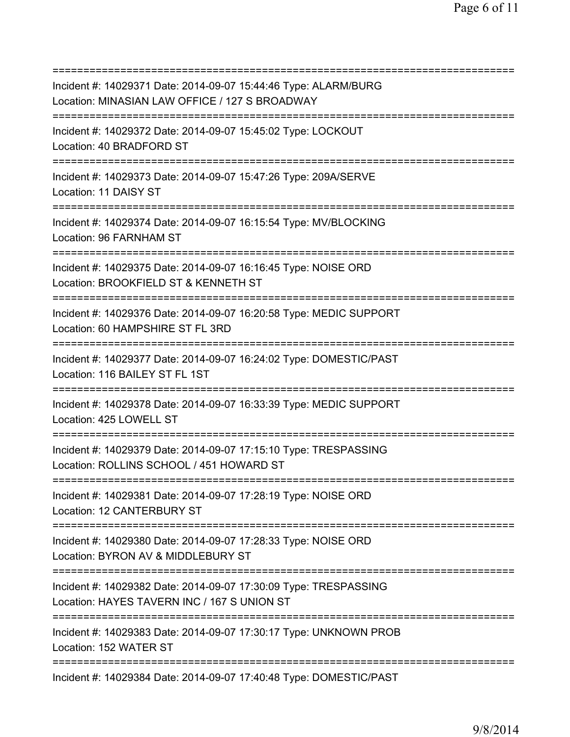=========================================================================== Incident #: 14029371 Date: 2014-09-07 15:44:46 Type: ALARM/BURG Location: MINASIAN LAW OFFICE / 127 S BROADWAY =========================================================================== Incident #: 14029372 Date: 2014-09-07 15:45:02 Type: LOCKOUT Location: 40 BRADFORD ST =========================================================================== Incident #: 14029373 Date: 2014-09-07 15:47:26 Type: 209A/SERVE Location: 11 DAISY ST =========================================================================== Incident #: 14029374 Date: 2014-09-07 16:15:54 Type: MV/BLOCKING Location: 96 FARNHAM ST =========================================================================== Incident #: 14029375 Date: 2014-09-07 16:16:45 Type: NOISE ORD Location: BROOKFIELD ST & KENNETH ST =========================================================================== Incident #: 14029376 Date: 2014-09-07 16:20:58 Type: MEDIC SUPPORT Location: 60 HAMPSHIRE ST FL 3RD =========================================================================== Incident #: 14029377 Date: 2014-09-07 16:24:02 Type: DOMESTIC/PAST Location: 116 BAILEY ST FL 1ST =========================================================================== Incident #: 14029378 Date: 2014-09-07 16:33:39 Type: MEDIC SUPPORT Location: 425 LOWELL ST =========================================================================== Incident #: 14029379 Date: 2014-09-07 17:15:10 Type: TRESPASSING Location: ROLLINS SCHOOL / 451 HOWARD ST =========================================================================== Incident #: 14029381 Date: 2014-09-07 17:28:19 Type: NOISE ORD Location: 12 CANTERBURY ST =========================================================================== Incident #: 14029380 Date: 2014-09-07 17:28:33 Type: NOISE ORD Location: BYRON AV & MIDDLEBURY ST =========================================================================== Incident #: 14029382 Date: 2014-09-07 17:30:09 Type: TRESPASSING Location: HAYES TAVERN INC / 167 S UNION ST =========================================================================== Incident #: 14029383 Date: 2014-09-07 17:30:17 Type: UNKNOWN PROB Location: 152 WATER ST =========================================================================== Incident #: 14029384 Date: 2014-09-07 17:40:48 Type: DOMESTIC/PAST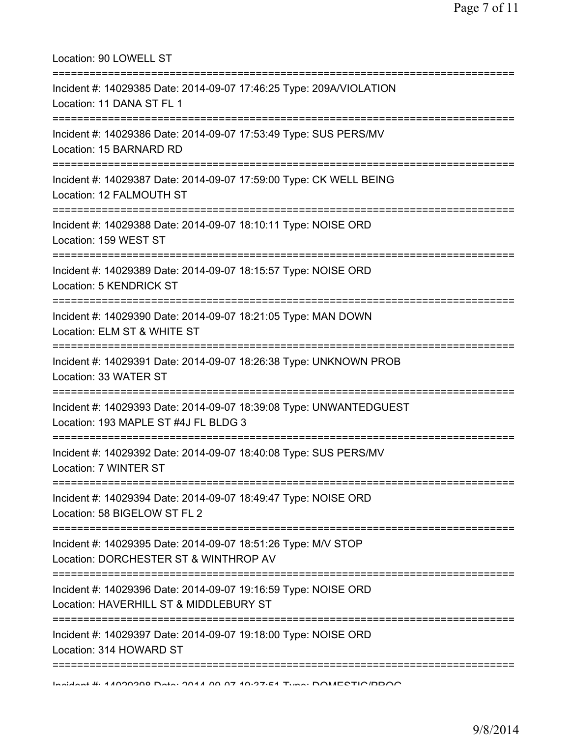| Location: 90 LOWELL ST                                                                                                                   |
|------------------------------------------------------------------------------------------------------------------------------------------|
| Incident #: 14029385 Date: 2014-09-07 17:46:25 Type: 209A/VIOLATION<br>Location: 11 DANA ST FL 1<br>==================================== |
| Incident #: 14029386 Date: 2014-09-07 17:53:49 Type: SUS PERS/MV<br>Location: 15 BARNARD RD<br>=====================================     |
| Incident #: 14029387 Date: 2014-09-07 17:59:00 Type: CK WELL BEING<br>Location: 12 FALMOUTH ST<br>;==================================    |
| Incident #: 14029388 Date: 2014-09-07 18:10:11 Type: NOISE ORD<br>Location: 159 WEST ST                                                  |
| Incident #: 14029389 Date: 2014-09-07 18:15:57 Type: NOISE ORD<br>Location: 5 KENDRICK ST                                                |
| Incident #: 14029390 Date: 2014-09-07 18:21:05 Type: MAN DOWN<br>Location: ELM ST & WHITE ST                                             |
| Incident #: 14029391 Date: 2014-09-07 18:26:38 Type: UNKNOWN PROB<br>Location: 33 WATER ST<br>;==============================            |
| Incident #: 14029393 Date: 2014-09-07 18:39:08 Type: UNWANTEDGUEST<br>Location: 193 MAPLE ST #4J FL BLDG 3                               |
| Incident #: 14029392 Date: 2014-09-07 18:40:08 Type: SUS PERS/MV<br>Location: 7 WINTER ST                                                |
| Incident #: 14029394 Date: 2014-09-07 18:49:47 Type: NOISE ORD<br>Location: 58 BIGELOW ST FL 2                                           |
| Incident #: 14029395 Date: 2014-09-07 18:51:26 Type: M/V STOP<br>Location: DORCHESTER ST & WINTHROP AV                                   |
| Incident #: 14029396 Date: 2014-09-07 19:16:59 Type: NOISE ORD<br>Location: HAVERHILL ST & MIDDLEBURY ST                                 |
| Incident #: 14029397 Date: 2014-09-07 19:18:00 Type: NOISE ORD<br>Location: 314 HOWARD ST                                                |
|                                                                                                                                          |

Incident #: 14029398 Date: 2014 09 07 19:37:51 Type: DOMESTIC/PROG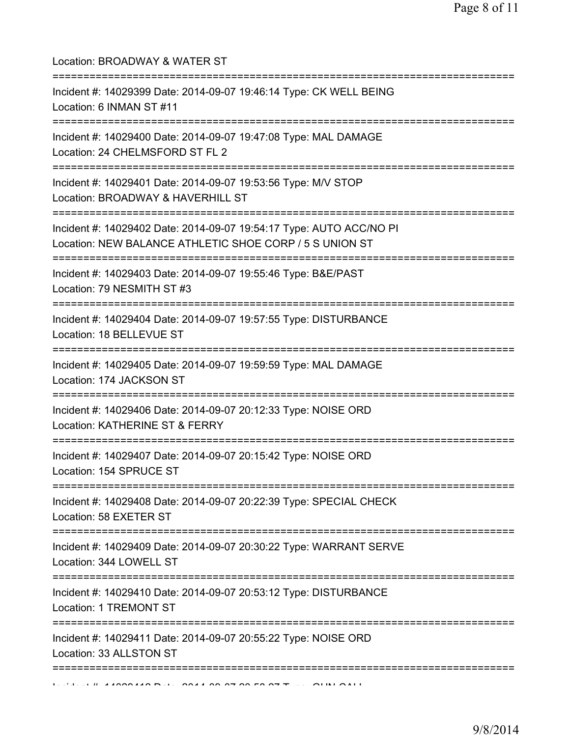| Location: BROADWAY & WATER ST<br>=====================================                                                                 |
|----------------------------------------------------------------------------------------------------------------------------------------|
| Incident #: 14029399 Date: 2014-09-07 19:46:14 Type: CK WELL BEING<br>Location: 6 INMAN ST #11<br>================================     |
| Incident #: 14029400 Date: 2014-09-07 19:47:08 Type: MAL DAMAGE<br>Location: 24 CHELMSFORD ST FL 2<br>================================ |
| Incident #: 14029401 Date: 2014-09-07 19:53:56 Type: M/V STOP<br>Location: BROADWAY & HAVERHILL ST                                     |
| Incident #: 14029402 Date: 2014-09-07 19:54:17 Type: AUTO ACC/NO PI<br>Location: NEW BALANCE ATHLETIC SHOE CORP / 5 S UNION ST         |
| Incident #: 14029403 Date: 2014-09-07 19:55:46 Type: B&E/PAST<br>Location: 79 NESMITH ST #3                                            |
| Incident #: 14029404 Date: 2014-09-07 19:57:55 Type: DISTURBANCE<br>Location: 18 BELLEVUE ST<br>=================================      |
| Incident #: 14029405 Date: 2014-09-07 19:59:59 Type: MAL DAMAGE<br>Location: 174 JACKSON ST                                            |
| Incident #: 14029406 Date: 2014-09-07 20:12:33 Type: NOISE ORD<br>Location: KATHERINE ST & FERRY                                       |
| Incident #: 14029407 Date: 2014-09-07 20:15:42 Type: NOISE ORD<br>Location: 154 SPRUCE ST                                              |
| ======================================<br>Incident #: 14029408 Date: 2014-09-07 20:22:39 Type: SPECIAL CHECK<br>Location: 58 EXETER ST |
| ================================<br>Incident #: 14029409 Date: 2014-09-07 20:30:22 Type: WARRANT SERVE<br>Location: 344 LOWELL ST      |
| Incident #: 14029410 Date: 2014-09-07 20:53:12 Type: DISTURBANCE<br>Location: 1 TREMONT ST                                             |
| Incident #: 14029411 Date: 2014-09-07 20:55:22 Type: NOISE ORD<br>Location: 33 ALLSTON ST                                              |
| =================================                                                                                                      |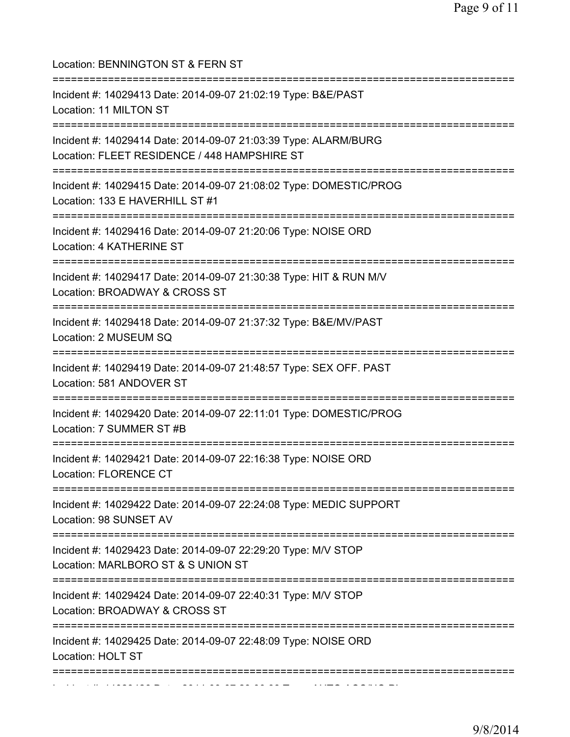| Location: BENNINGTON ST & FERN ST<br>====================================                                                             |
|---------------------------------------------------------------------------------------------------------------------------------------|
| Incident #: 14029413 Date: 2014-09-07 21:02:19 Type: B&E/PAST<br>Location: 11 MILTON ST                                               |
| Incident #: 14029414 Date: 2014-09-07 21:03:39 Type: ALARM/BURG<br>Location: FLEET RESIDENCE / 448 HAMPSHIRE ST                       |
| Incident #: 14029415 Date: 2014-09-07 21:08:02 Type: DOMESTIC/PROG<br>Location: 133 E HAVERHILL ST #1                                 |
| Incident #: 14029416 Date: 2014-09-07 21:20:06 Type: NOISE ORD<br>Location: 4 KATHERINE ST                                            |
| Incident #: 14029417 Date: 2014-09-07 21:30:38 Type: HIT & RUN M/V<br>Location: BROADWAY & CROSS ST<br>:==========                    |
| Incident #: 14029418 Date: 2014-09-07 21:37:32 Type: B&E/MV/PAST<br>Location: 2 MUSEUM SQ                                             |
| Incident #: 14029419 Date: 2014-09-07 21:48:57 Type: SEX OFF. PAST<br>Location: 581 ANDOVER ST                                        |
| Incident #: 14029420 Date: 2014-09-07 22:11:01 Type: DOMESTIC/PROG<br>Location: 7 SUMMER ST #B                                        |
| Incident #: 14029421 Date: 2014-09-07 22:16:38 Type: NOISE ORD<br>Location: FLORENCE CT                                               |
| Incident #: 14029422 Date: 2014-09-07 22:24:08 Type: MEDIC SUPPORT<br>Location: 98 SUNSET AV                                          |
| ------------------------------<br>Incident #: 14029423 Date: 2014-09-07 22:29:20 Type: M/V STOP<br>Location: MARLBORO ST & S UNION ST |
| Incident #: 14029424 Date: 2014-09-07 22:40:31 Type: M/V STOP<br>Location: BROADWAY & CROSS ST                                        |
| Incident #: 14029425 Date: 2014-09-07 22:48:09 Type: NOISE ORD<br>Location: HOLT ST                                                   |
|                                                                                                                                       |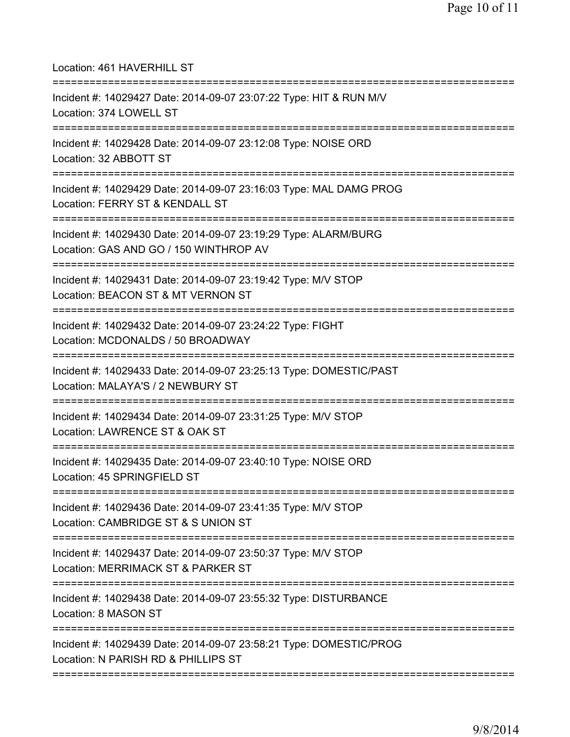Location: 461 HAVERHILL ST =========================================================================== Incident #: 14029427 Date: 2014-09-07 23:07:22 Type: HIT & RUN M/V Location: 374 LOWELL ST =========================================================================== Incident #: 14029428 Date: 2014-09-07 23:12:08 Type: NOISE ORD Location: 32 ABBOTT ST =========================================================================== Incident #: 14029429 Date: 2014-09-07 23:16:03 Type: MAL DAMG PROG Location: FERRY ST & KENDALL ST =========================================================================== Incident #: 14029430 Date: 2014-09-07 23:19:29 Type: ALARM/BURG Location: GAS AND GO / 150 WINTHROP AV =========================================================================== Incident #: 14029431 Date: 2014-09-07 23:19:42 Type: M/V STOP Location: BEACON ST & MT VERNON ST =========================================================================== Incident #: 14029432 Date: 2014-09-07 23:24:22 Type: FIGHT Location: MCDONALDS / 50 BROADWAY =========================================================================== Incident #: 14029433 Date: 2014-09-07 23:25:13 Type: DOMESTIC/PAST Location: MALAYA'S / 2 NEWBURY ST =========================================================================== Incident #: 14029434 Date: 2014-09-07 23:31:25 Type: M/V STOP Location: LAWRENCE ST & OAK ST =========================================================================== Incident #: 14029435 Date: 2014-09-07 23:40:10 Type: NOISE ORD Location: 45 SPRINGFIELD ST =========================================================================== Incident #: 14029436 Date: 2014-09-07 23:41:35 Type: M/V STOP Location: CAMBRIDGE ST & S UNION ST =========================================================================== Incident #: 14029437 Date: 2014-09-07 23:50:37 Type: M/V STOP Location: MERRIMACK ST & PARKER ST =========================================================================== Incident #: 14029438 Date: 2014-09-07 23:55:32 Type: DISTURBANCE Location: 8 MASON ST =========================================================================== Incident #: 14029439 Date: 2014-09-07 23:58:21 Type: DOMESTIC/PROG Location: N PARISH RD & PHILLIPS ST ===========================================================================